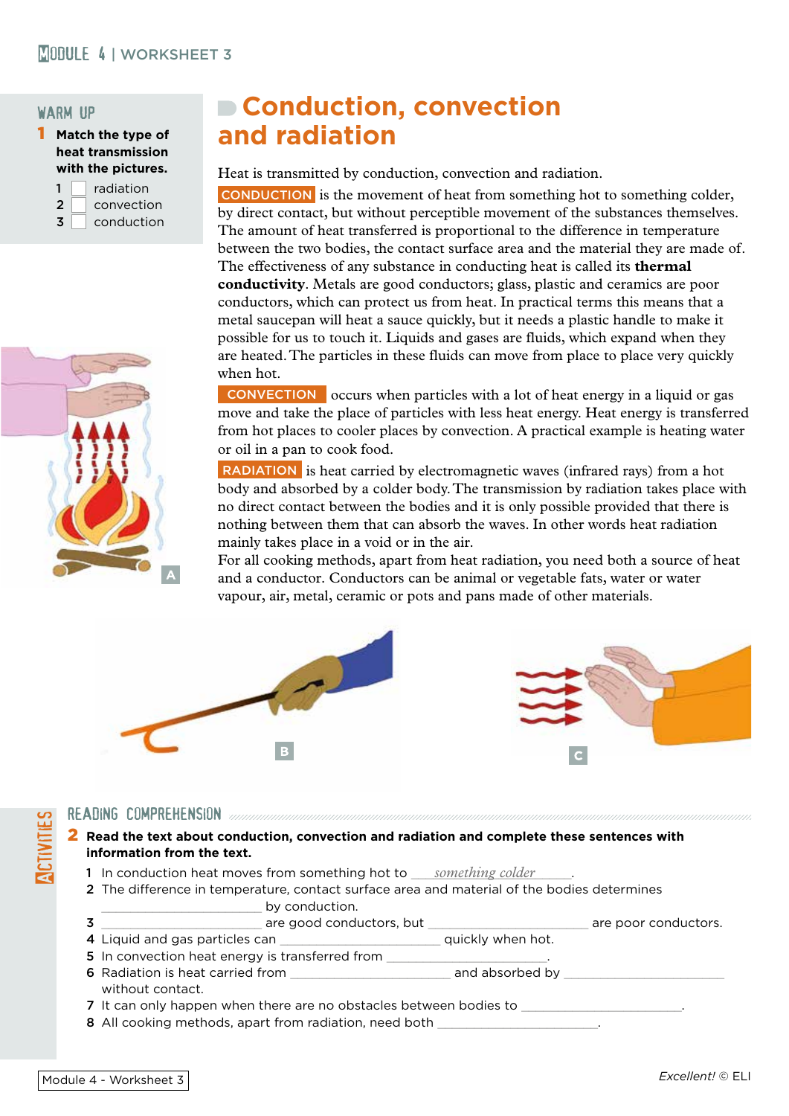#### warm up

1 **Match the type of heat transmission with the pictures.**

|   | radiation  |
|---|------------|
| 2 | convection |
| 3 | conduction |



# **Conduction, convection and radiation**

Heat is transmitted by conduction, convection and radiation.

CONDUCTION is the movement of heat from something hot to something colder, by direct contact, but without perceptible movement of the substances themselves. The amount of heat transferred is proportional to the difference in temperature between the two bodies, the contact surface area and the material they are made of. The effectiveness of any substance in conducting heat is called its **thermal conductivity**. Metals are good conductors; glass, plastic and ceramics are poor conductors, which can protect us from heat. In practical terms this means that a metal saucepan will heat a sauce quickly, but it needs a plastic handle to make it possible for us to touch it. Liquids and gases are fluids, which expand when they are heated. The particles in these fluids can move from place to place very quickly when hot.

CONVECTION occurs when particles with a lot of heat energy in a liquid or gas move and take the place of particles with less heat energy. Heat energy is transferred from hot places to cooler places by convection. A practical example is heating water or oil in a pan to cook food.

RADIATION is heat carried by electromagnetic waves (infrared rays) from a hot body and absorbed by a colder body. The transmission by radiation takes place with no direct contact between the bodies and it is only possible provided that there is nothing between them that can absorb the waves. In other words heat radiation mainly takes place in a void or in the air.

For all cooking methods, apart from heat radiation, you need both a source of heat and a conductor. Conductors can be animal or vegetable fats, water or water vapour, air, metal, ceramic or pots and pans made of other materials.



- READING COMPREHENSION<br>
2 Read the text about contribution<br>
1 In conduction heat 2 **Read the text about conduction, convection and radiation and complete these sentences with information from the text.**
	- 1 In conduction heat moves from something hot to *something colder* 2001.
	- 2 The difference in temperature, contact surface area and material of the bodies determines
	- by conduction. 3 \_\_\_\_\_\_\_\_\_\_\_\_\_\_\_\_\_\_\_\_\_\_ are good conductors, but \_\_\_\_\_\_\_\_\_\_\_\_\_\_\_\_\_\_\_\_\_\_ are poor conductors.
	- 4 Liquid and gas particles can \_\_\_\_\_\_\_\_\_\_\_\_\_\_\_\_\_\_\_\_\_\_\_\_\_\_\_\_\_ quickly when hot.
	- 5 In convection heat energy is transferred from
	- 6 Radiation is heat carried from the set of the same and absorbed by  $\overline{a}$ without contact.
	- 7 It can only happen when there are no obstacles between bodies to \_\_\_\_\_\_\_\_\_\_\_\_\_
	- 8 All cooking methods, apart from radiation, need both